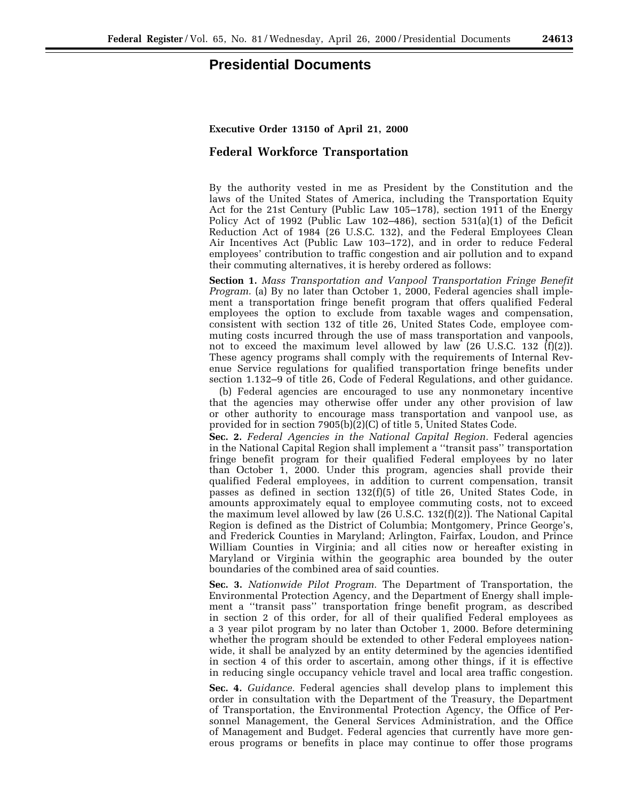## **Presidential Documents**

## **Federal Workforce Transportation**

By the authority vested in me as President by the Constitution and the laws of the United States of America, including the Transportation Equity Act for the 21st Century (Public Law 105–178), section 1911 of the Energy Policy Act of 1992 (Public Law 102–486), section 531(a)(1) of the Deficit Reduction Act of 1984 (26 U.S.C. 132), and the Federal Employees Clean Air Incentives Act (Public Law 103–172), and in order to reduce Federal employees' contribution to traffic congestion and air pollution and to expand their commuting alternatives, it is hereby ordered as follows:

**Section 1.** *Mass Transportation and Vanpool Transportation Fringe Benefit Program.* (a) By no later than October 1, 2000, Federal agencies shall implement a transportation fringe benefit program that offers qualified Federal employees the option to exclude from taxable wages and compensation, consistent with section 132 of title 26, United States Code, employee commuting costs incurred through the use of mass transportation and vanpools, not to exceed the maximum level allowed by law (26 U.S.C. 132  $(f)(2)$ ). These agency programs shall comply with the requirements of Internal Revenue Service regulations for qualified transportation fringe benefits under section 1.132–9 of title 26, Code of Federal Regulations, and other guidance.

(b) Federal agencies are encouraged to use any nonmonetary incentive that the agencies may otherwise offer under any other provision of law or other authority to encourage mass transportation and vanpool use, as provided for in section 7905(b)(2)(C) of title 5, United States Code.

**Sec. 2.** *Federal Agencies in the National Capital Region.* Federal agencies in the National Capital Region shall implement a ''transit pass'' transportation fringe benefit program for their qualified Federal employees by no later than October 1, 2000. Under this program, agencies shall provide their qualified Federal employees, in addition to current compensation, transit passes as defined in section 132(f)(5) of title 26, United States Code, in amounts approximately equal to employee commuting costs, not to exceed the maximum level allowed by law (26 U.S.C. 132(f)(2)). The National Capital Region is defined as the District of Columbia; Montgomery, Prince George's, and Frederick Counties in Maryland; Arlington, Fairfax, Loudon, and Prince William Counties in Virginia; and all cities now or hereafter existing in Maryland or Virginia within the geographic area bounded by the outer boundaries of the combined area of said counties.

**Sec. 3.** *Nationwide Pilot Program.* The Department of Transportation, the Environmental Protection Agency, and the Department of Energy shall implement a ''transit pass'' transportation fringe benefit program, as described in section 2 of this order, for all of their qualified Federal employees as a 3 year pilot program by no later than October 1, 2000. Before determining whether the program should be extended to other Federal employees nationwide, it shall be analyzed by an entity determined by the agencies identified in section 4 of this order to ascertain, among other things, if it is effective in reducing single occupancy vehicle travel and local area traffic congestion.

**Sec. 4.** *Guidance.* Federal agencies shall develop plans to implement this order in consultation with the Department of the Treasury, the Department of Transportation, the Environmental Protection Agency, the Office of Personnel Management, the General Services Administration, and the Office of Management and Budget. Federal agencies that currently have more generous programs or benefits in place may continue to offer those programs